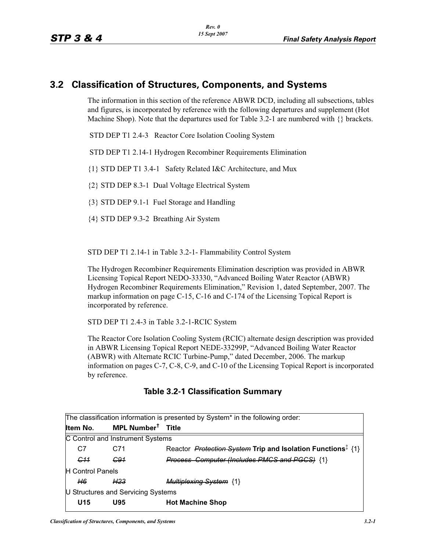## **3.2 Classification of Structures, Components, and Systems**

The information in this section of the reference ABWR DCD, including all subsections, tables and figures, is incorporated by reference with the following departures and supplement (Hot Machine Shop). Note that the departures used for Table 3.2-1 are numbered with  $\{\}$  brackets.

STD DEP T1 2.4-3 Reactor Core Isolation Cooling System

STD DEP T1 2.14-1 Hydrogen Recombiner Requirements Elimination

{1} STD DEP T1 3.4-1 Safety Related I&C Architecture, and Mux

{2} STD DEP 8.3-1 Dual Voltage Electrical System

{3} STD DEP 9.1-1 Fuel Storage and Handling

{4} STD DEP 9.3-2 Breathing Air System

STD DEP T1 2.14-1 in Table 3.2-1- Flammability Control System

The Hydrogen Recombiner Requirements Elimination description was provided in ABWR Licensing Topical Report NEDO-33330, "Advanced Boiling Water Reactor (ABWR) Hydrogen Recombiner Requirements Elimination," Revision 1, dated September, 2007. The markup information on page C-15, C-16 and C-174 of the Licensing Topical Report is incorporated by reference.

STD DEP T1 2.4-3 in Table 3.2-1-RCIC System

The Reactor Core Isolation Cooling System (RCIC) alternate design description was provided in ABWR Licensing Topical Report NEDE-33299P, "Advanced Boiling Water Reactor (ABWR) with Alternate RCIC Turbine-Pump," dated December, 2006. The markup information on pages C-7, C-8, C-9, and C-10 of the Licensing Topical Report is incorporated by reference.

|  | Table 3.2-1 Classification Summary |  |
|--|------------------------------------|--|
|--|------------------------------------|--|

| The classification information is presented by System* in the following order: |                               |                                                                                |  |  |  |  |  |
|--------------------------------------------------------------------------------|-------------------------------|--------------------------------------------------------------------------------|--|--|--|--|--|
| Item No.                                                                       | MPL Number <sup>†</sup> Title |                                                                                |  |  |  |  |  |
| C Control and Instrument Systems                                               |                               |                                                                                |  |  |  |  |  |
| C7                                                                             | C71                           | Reactor <i>Protection System</i> Trip and Isolation Functions <sup>‡</sup> {1} |  |  |  |  |  |
| <del>C11</del>                                                                 | <del>C91</del>                | Process Computer (Includes PMCS and PGCS) {1}                                  |  |  |  |  |  |
| <b>H</b> Control Panels                                                        |                               |                                                                                |  |  |  |  |  |
| H6.                                                                            | H <sub>23</sub>               | <b>Multiplexing System {1}</b>                                                 |  |  |  |  |  |
| U Structures and Servicing Systems                                             |                               |                                                                                |  |  |  |  |  |
| U <sub>15</sub>                                                                | U95                           | <b>Hot Machine Shop</b>                                                        |  |  |  |  |  |